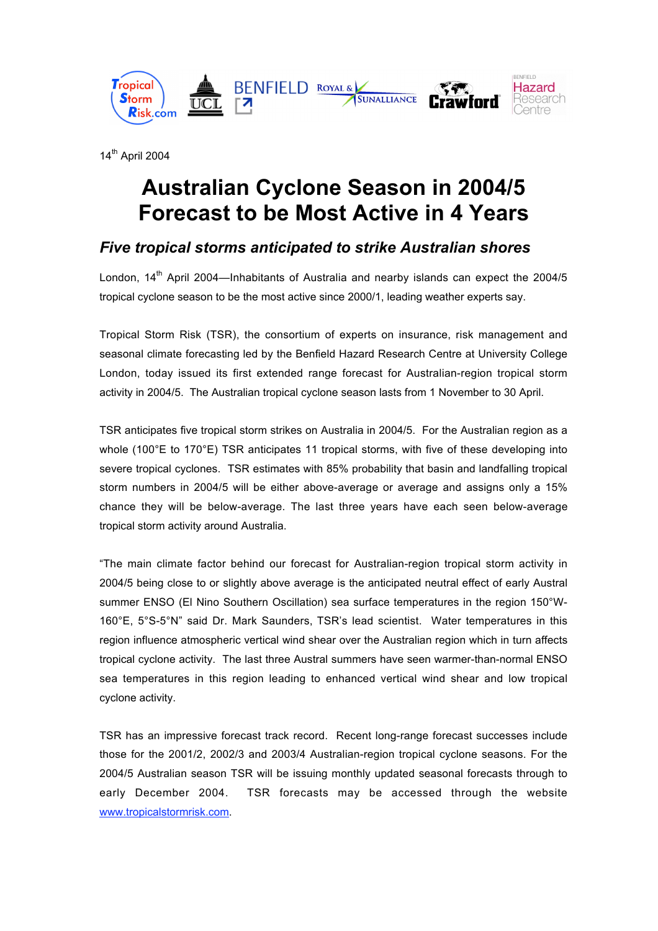

14th April 2004

# **Australian Cyclone Season in 2004/5 Forecast to be Most Active in 4 Years**

## *Five tropical storms anticipated to strike Australian shores*

London,  $14<sup>th</sup>$  April 2004—Inhabitants of Australia and nearby islands can expect the 2004/5 tropical cyclone season to be the most active since 2000/1, leading weather experts say.

Tropical Storm Risk (TSR), the consortium of experts on insurance, risk management and seasonal climate forecasting led by the Benfield Hazard Research Centre at University College London, today issued its first extended range forecast for Australian-region tropical storm activity in 2004/5. The Australian tropical cyclone season lasts from 1 November to 30 April.

TSR anticipates five tropical storm strikes on Australia in 2004/5. For the Australian region as a whole (100°E to 170°E) TSR anticipates 11 tropical storms, with five of these developing into severe tropical cyclones. TSR estimates with 85% probability that basin and landfalling tropical storm numbers in 2004/5 will be either above-average or average and assigns only a 15% chance they will be below-average. The last three years have each seen below-average tropical storm activity around Australia.

"The main climate factor behind our forecast for Australian-region tropical storm activity in 2004/5 being close to or slightly above average is the anticipated neutral effect of early Austral summer ENSO (El Nino Southern Oscillation) sea surface temperatures in the region 150°W-160°E, 5°S-5°N" said Dr. Mark Saunders, TSR's lead scientist. Water temperatures in this region influence atmospheric vertical wind shear over the Australian region which in turn affects tropical cyclone activity. The last three Austral summers have seen warmer-than-normal ENSO sea temperatures in this region leading to enhanced vertical wind shear and low tropical cyclone activity.

TSR has an impressive forecast track record. Recent long-range forecast successes include those for the 2001/2, 2002/3 and 2003/4 Australian-region tropical cyclone seasons. For the 2004/5 Australian season TSR will be issuing monthly updated seasonal forecasts through to early December 2004. TSR forecasts may be accessed through the website www.tropicalstormrisk.com.